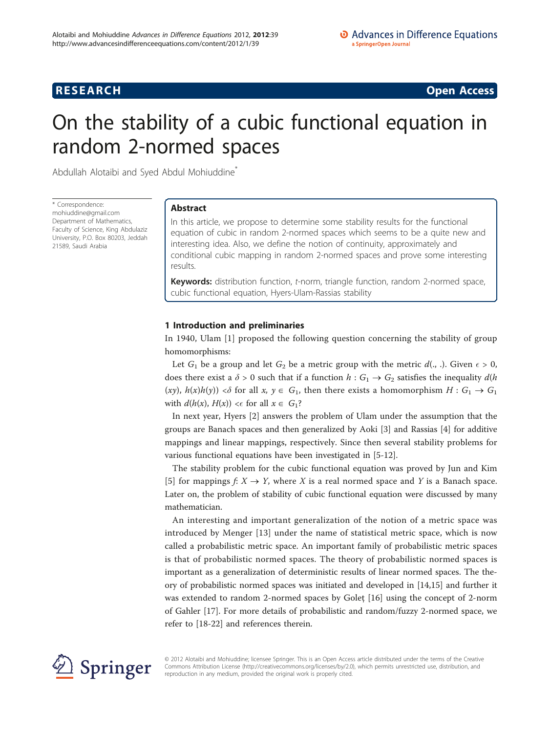**RESEARCH CONSTRUCTION CONSTRUCTS** 

# On the stability of a cubic functional equation in random 2-normed spaces

Abdullah Alotaibi and Syed Abdul Mohiuddine<sup>\*</sup>

\* Correspondence: [mohiuddine@gmail.com](mailto:mohiuddine@gmail.com) Department of Mathematics, Faculty of Science, King Abdulaziz University, P.O. Box 80203, Jeddah 21589, Saudi Arabia

# Abstract

In this article, we propose to determine some stability results for the functional equation of cubic in random 2-normed spaces which seems to be a quite new and interesting idea. Also, we define the notion of continuity, approximately and conditional cubic mapping in random 2-normed spaces and prove some interesting results.

Keywords: distribution function, t-norm, triangle function, random 2-normed space, cubic functional equation, Hyers-Ulam-Rassias stability

# 1 Introduction and preliminaries

In 1940, Ulam [\[1](#page-8-0)] proposed the following question concerning the stability of group homomorphisms:

Let  $G_1$  be a group and let  $G_2$  be a metric group with the metric  $d(.,.)$ . Given  $\epsilon > 0$ , does there exist a  $\delta > 0$  such that if a function  $h : G_1 \to G_2$  satisfies the inequality  $d(h)$ (xy),  $h(x)h(y)$  < $\delta$  for all  $x, y \in G_1$ , then there exists a homomorphism  $H : G_1 \to G_1$ with  $d(h(x), H(x)) \leq \epsilon$  for all  $x \in G_1$ ?

In next year, Hyers [[2\]](#page-8-0) answers the problem of Ulam under the assumption that the groups are Banach spaces and then generalized by Aoki [[3](#page-8-0)] and Rassias [\[4](#page-8-0)] for additive mappings and linear mappings, respectively. Since then several stability problems for various functional equations have been investigated in [\[5](#page-9-0)-[12\]](#page-9-0).

The stability problem for the cubic functional equation was proved by Jun and Kim [[5\]](#page-9-0) for mappings  $f: X \to Y$ , where X is a real normed space and Y is a Banach space. Later on, the problem of stability of cubic functional equation were discussed by many mathematician.

An interesting and important generalization of the notion of a metric space was introduced by Menger [\[13](#page-9-0)] under the name of statistical metric space, which is now called a probabilistic metric space. An important family of probabilistic metric spaces is that of probabilistic normed spaces. The theory of probabilistic normed spaces is important as a generalization of deterministic results of linear normed spaces. The theory of probabilistic normed spaces was initiated and developed in [\[14,15\]](#page-9-0) and further it was extended to random 2-normed spaces by Golet [[16\]](#page-9-0) using the concept of 2-norm of Gahler [[17\]](#page-9-0). For more details of probabilistic and random/fuzzy 2-normed space, we refer to [\[18](#page-9-0)-[22](#page-9-0)] and references therein.



© 2012 Alotaibi and Mohiuddine; licensee Springer. This is an Open Access article distributed under the terms of the Creative Commons Attribution License [\(http://creativecommons.org/licenses/by/2.0](http://creativecommons.org/licenses/by/2.0)), which permits unrestricted use, distribution, and reproduction in any medium, provided the original work is properly cited.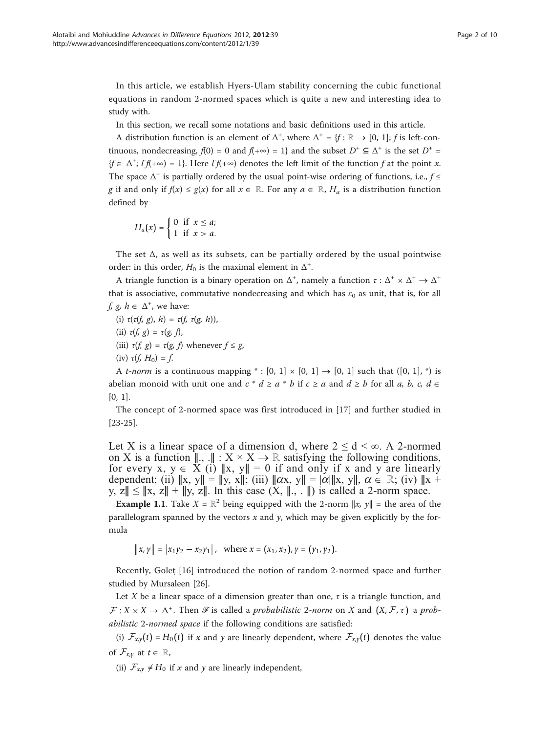In this article, we establish Hyers-Ulam stability concerning the cubic functional equations in random 2-normed spaces which is quite a new and interesting idea to study with.

In this section, we recall some notations and basic definitions used in this article.

A distribution function is an element of  $\Delta^+$ , where  $\Delta^+ = \{f : \mathbb{R} \to [0, 1]; f$  is left-continuous, nondecreasing,  $f(0) = 0$  and  $f(+\infty) = 1$ } and the subset  $D^+ \subseteq \Delta^+$  is the set  $D^+ =$  ${f \in \Delta^+; I f(+\infty) = 1}.$  Here  $I f(+\infty)$  denotes the left limit of the function f at the point x. The space  $\Delta^+$  is partially ordered by the usual point-wise ordering of functions, i.e.,  $f \leq$ g if and only if  $f(x) \le g(x)$  for all  $x \in \mathbb{R}$ . For any  $a \in \mathbb{R}$ ,  $H_a$  is a distribution function defined by

$$
H_a(x) = \begin{cases} 0 & \text{if } x \leq a; \\ 1 & \text{if } x > a. \end{cases}
$$

The set  $\Delta$ , as well as its subsets, can be partially ordered by the usual pointwise order: in this order,  $H_0$  is the maximal element in  $\Delta^+$ .

A triangle function is a binary operation on  $\Delta^+$ , namely a function  $\tau : \Delta^+ \times \Delta^+ \to \Delta^+$ that is associative, commutative nondecreasing and which has  $\varepsilon_0$  as unit, that is, for all f, g,  $h \in \Delta^+$ , we have:

- (i)  $\tau(\tau(f, g), h) = \tau(f, \tau(g, h)),$
- (ii)  $\tau(f, g) = \tau(g, f)$ ,
- (iii)  $\tau(f, g) = \tau(g, f)$  whenever  $f \le g$ ,
- (iv)  $\tau(f, H_0) = f$ .

A *t*-norm is a continuous mapping  $\ast$  : [0, 1]  $\times$  [0, 1]  $\rightarrow$  [0, 1] such that ([0, 1],  $\ast$ ) is abelian monoid with unit one and  $c * d \ge a * b$  if  $c \ge a$  and  $d \ge b$  for all a, b, c,  $d \in$ [0, 1].

The concept of 2-normed space was first introduced in [\[17\]](#page-9-0) and further studied in [[23-25\]](#page-9-0).

Let X is a linear space of a dimension d, where  $2 \le d \le \infty$ . A 2-normed on X is a function  $\parallel$ , . $\parallel$  : X × X  $\rightarrow \mathbb{R}$  satisfying the following conditions, for every x,  $y \in \overline{X}$  (i)  $||x, y|| = 0$  if and only if x and y are linearly dependent; (ii)  $||x, y|| = ||y, x||$ ; (iii)  $||\alpha x, y|| = |\alpha|||x, y||$ ,  $\alpha \in \mathbb{R}$ ; (iv)  $||x + y||$ y, z $\|$  ≤  $\|$ x, z $\|$  +  $\|$ y, z $\|$ . In this case  $(X, \|\cdot, \cdot\|)$  is called a 2-norm space.

**Example 1.1.** Take  $X = \mathbb{R}^2$  being equipped with the 2-norm  $||x, y|| =$  the area of the parallelogram spanned by the vectors  $x$  and  $y$ , which may be given explicitly by the formula

 $\|x, y\| = |x_1y_2 - x_2y_1|$ , where  $x = (x_1, x_2)$ ,  $y = (y_1, y_2)$ .

Recently, Goleţ [[16](#page-9-0)] introduced the notion of random 2-normed space and further studied by Mursaleen [\[26](#page-9-0)].

Let X be a linear space of a dimension greater than one,  $\tau$  is a triangle function, and  $\mathcal{F}: X \times X \to \Delta^+$ . Then  $\mathcal F$  is called a *probabilistic 2-norm* on X and  $(X, \mathcal{F}, \tau)$  a *prob*abilistic 2-normed space if the following conditions are satisfied:

(i)  $\mathcal{F}_{x,y}(t) = H_0(t)$  if x and y are linearly dependent, where  $\mathcal{F}_{x,y}(t)$  denotes the value of  $\mathcal{F}_{x,y}$  at  $t \in \mathbb{R}$ ,

(ii)  $\mathcal{F}_{x,y} \neq H_0$  if x and y are linearly independent,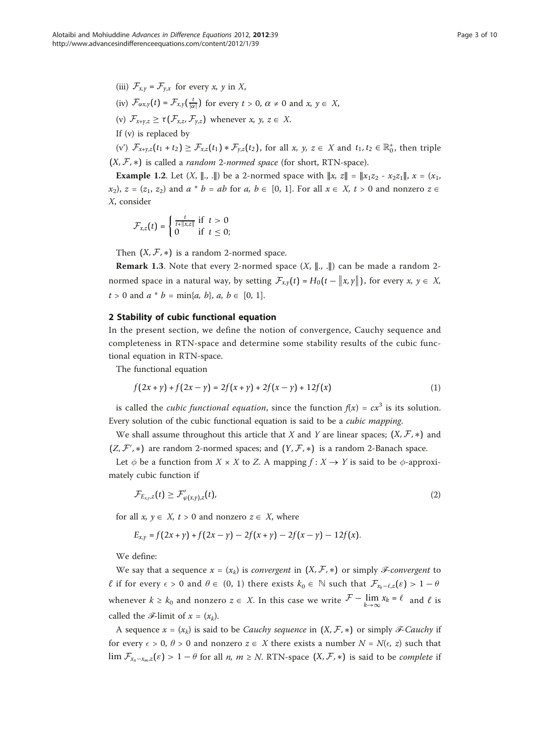$(v')$   $\mathcal{F}_{x+y,z}(t_1 + t_2) \ge \mathcal{F}_{x,z}(t_1) * \mathcal{F}_{y,z}(t_2)$ , for all  $x, y, z \in X$  and  $t_1, t_2 \in \mathbb{R}_0^+$ , then triple  $(X, \mathcal{F}, *)$  is called a *random 2-normed space* (for short, RTN-space).

**Example 1.2.** Let  $(X, \|, \|)$  be a 2-normed space with  $\|x, z\| = \|x_1 z_2 - x_2 z_1\|$ ,  $x = (x_1, x_2, z_2, \dots, x_n)$  $(x_2)$ ,  $z = (z_1, z_2)$  and  $a * b = ab$  for  $a, b \in [0, 1]$ . For all  $x \in X$ ,  $t > 0$  and nonzero  $z \in \mathbb{R}$ X, consider

$$
\mathcal{F}_{x,z}(t) = \begin{cases} \frac{t}{t + \|x,z\|} & \text{if } t > 0\\ 0 & \text{if } t \leq 0; \end{cases}
$$

Then  $(X, \mathcal{F}, *)$  is a random 2-normed space.

**Remark 1.3.** Note that every 2-normed space  $(X, \|\cdot\|)$  can be made a random 2normed space in a natural way, by setting  $\mathcal{F}_{x,y}(t) = H_0(t - ||x, y||)$ , for every  $x, y \in X$ ,  $t > 0$  and  $a * b = \min\{a, b\}, a, b \in [0, 1].$ 

# 2 Stability of cubic functional equation

In the present section, we define the notion of convergence, Cauchy sequence and completeness in RTN-space and determine some stability results of the cubic functional equation in RTN-space.

The functional equation

$$
f(2x + y) + f(2x - y) = 2f(x + y) + 2f(x - y) + 12f(x)
$$
 (1)

is called the *cubic functional equation*, since the function  $f(x) = cx^3$  is its solution. Every solution of the cubic functional equation is said to be a cubic mapping.

We shall assume throughout this article that X and Y are linear spaces;  $(X, \mathcal{F}, *)$  and  $(Z, \mathcal{F}', *)$  are random 2-normed spaces; and  $(Y, \mathcal{F}, *)$  is a random 2-Banach space.

Let  $\phi$  be a function from  $X \times X$  to Z. A mapping  $f: X \to Y$  is said to be  $\phi$ -approximately cubic function if

$$
\mathcal{F}_{E_{x,y},z}(t) \geq \mathcal{F}'_{\varphi(x,y),z}(t),\tag{2}
$$

for all  $x, y \in X$ ,  $t > 0$  and nonzero  $z \in X$ , where

$$
E_{x,y} = f(2x + y) + f(2x - y) - 2f(x + y) - 2f(x - y) - 12f(x).
$$

We define:

We say that a sequence  $x = (x_k)$  is *convergent* in  $(X, \mathcal{F}, *)$  or simply *ℱ*-convergent to *ℓ* if for every  $\epsilon > 0$  and  $\theta \in (0, 1)$  there exists  $k_0 \in \mathbb{N}$  such that  $\mathcal{F}_{x_k-\ell,z}(\epsilon) > 1-\theta$ whenever  $k \ge k_0$  and nonzero  $z \in X$ . In this case we write  $\mathcal{F} - \lim_{k \to \infty} x_k = \ell$  and  $\ell$  is called the  $\mathscr{F}\text{-limit of } x = (x_k)$ .

A sequence  $x = (x_k)$  is said to be *Cauchy sequence* in  $(X, \mathcal{F}, *)$  or simply *F-Cauchy* if for every  $\epsilon > 0$ ,  $\theta > 0$  and nonzero  $z \in X$  there exists a number  $N = N(\epsilon, z)$  such that lim  $\mathcal{F}_{x_n-x_m,z}(\varepsilon) > 1 - \theta$  for all *n*, *m* ≥ *N*. RTN-space  $(X, \mathcal{F}, *)$  is said to be *complete* if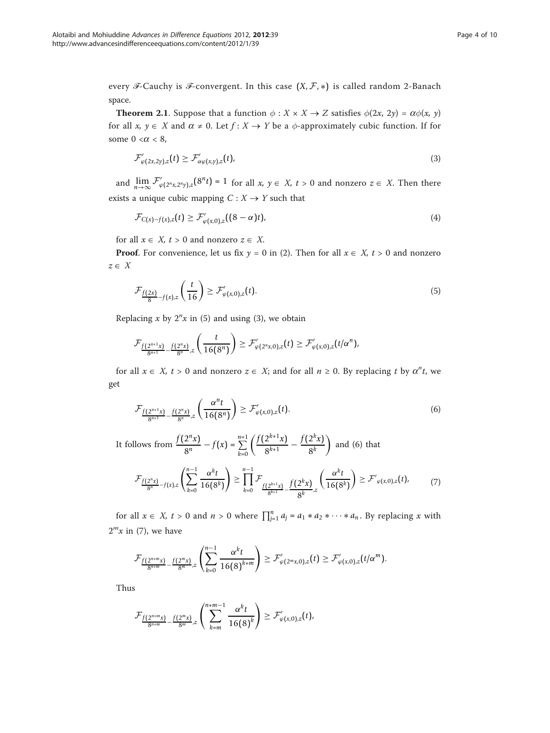every *ℱ*-Cauchy is *ℱ*-convergent. In this case  $(X, \mathcal{F}, *)$  is called random 2-Banach space.

**Theorem 2.1.** Suppose that a function  $\phi : X \times X \to Z$  satisfies  $\phi(2x, 2y) = \alpha\phi(x, y)$ for all  $x, y \in X$  and  $\alpha \neq 0$ . Let  $f : X \to Y$  be a  $\phi$ -approximately cubic function. If for some  $0 < \alpha < 8$ ,

$$
\mathcal{F}'_{\varphi(2x,2y),z}(t) \geq \mathcal{F}'_{\alpha\varphi(x,y),z}(t),\tag{3}
$$

and  $\lim_{n\to\infty} \mathcal{F}'_{\varphi(2^n x, 2^n y), z}(8^n t) = 1$  for all  $x, y \in X$ ,  $t > 0$  and nonzero  $z \in X$ . Then there exists a unique cubic mapping  $C: X \rightarrow Y$  such that

$$
\mathcal{F}_{C(x)-f(x),z}(t) \geq \mathcal{F}'_{\varphi(x,0),z}((8-\alpha)t),\tag{4}
$$

for all  $x \in X$ ,  $t > 0$  and nonzero  $z \in X$ .

**Proof.** For convenience, let us fix  $y = 0$  in (2). Then for all  $x \in X$ ,  $t > 0$  and nonzero  $z \in X$ 

$$
\mathcal{F}_{\frac{f(2x)}{8}-f(x),z}\left(\frac{t}{16}\right) \geq \mathcal{F}'_{\varphi(x,0),z}(t). \tag{5}
$$

Replacing x by  $2^n x$  in (5) and using (3), we obtain

$$
\mathcal{F}_{\frac{f(2^{n+1}x)}{8^{n+1}}-\frac{f(2^n x)}{8^n},z}\left(\frac{t}{16(8^n)}\right)\geq \mathcal{F}_{\varphi(2^n x,0),z}'(t)\geq \mathcal{F}_{\varphi(x,0),z}'(t/\alpha^n),
$$

for all  $x \in X$ ,  $t > 0$  and nonzero  $z \in X$ ; and for all  $n \ge 0$ . By replacing t by  $\alpha^n t$ , we get

$$
\mathcal{F}_{\frac{f(2^{n+1}x)}{8^{n+1}} - \frac{f(2^n x)}{8^n} z} \left( \frac{\alpha^n t}{16(8^n)} \right) \geq \mathcal{F}'_{\varphi(x,0),z}(t).
$$
 (6)

It follows from  $\frac{f(2^n x)}{8^n} - f(x) = \sum_{k=0}^{n=1} \left( \frac{f(2^{k+1} x)}{8^{k+1}} - \frac{f(2^k x)}{8^k} \right)$ ) and  $(6)$  that

$$
\mathcal{F}_{\frac{f(2^n x)}{8^n} - f(x), z} \left( \sum_{k=0}^{n-1} \frac{\alpha^k t}{16(8^k)} \right) \ge \prod_{k=0}^{n-1} \mathcal{F}_{\frac{f(2^{k+1} x)}{8^{k+1}}} \frac{f(2^k x)}{8^k} z^{\left(\frac{\alpha^k t}{16(8^k)}\right)} \ge \mathcal{F}'_{\varphi(x, 0), z}(t), \tag{7}
$$

for all  $x \in X$ ,  $t > 0$  and  $n > 0$  where  $\prod_{j=1}^{n} a_j = a_1 * a_2 * \cdots * a_n$ . By replacing x with  $2<sup>m</sup>x$  in (7), we have

$$
\mathcal{F}_{\frac{f(2^{n+m}x)}{8^{n+m}}-\frac{f(2^mx)}{8^m},z}\left(\sum_{k=0}^{n-1}\frac{\alpha^kt}{16(8)^{k+m}}\right)\geq \mathcal{F}_{\varphi(2^mx,0),z}'(t)\geq \mathcal{F}_{\varphi(x,0),z}'(t/\alpha^m).
$$

Thus

$$
\mathcal{F}_{\frac{f(2^{n+m}x)}{8^{n+m}}-\frac{f(2^mx)}{8^m},z}\left(\sum_{k=m}^{n+m-1}\frac{\alpha^kt}{16(8)^k}\right)\geq \mathcal{F}'_{\varphi(x,0),z}(t),
$$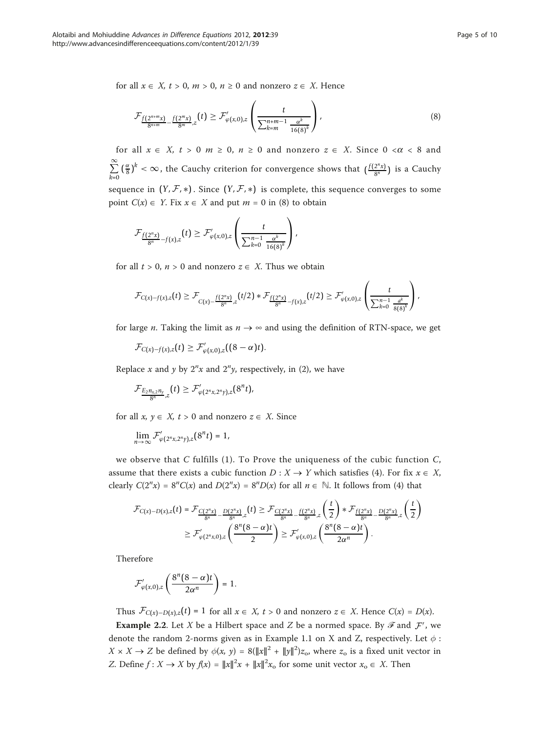for all  $x \in X$ ,  $t > 0$ ,  $m > 0$ ,  $n \ge 0$  and nonzero  $z \in X$ . Hence

$$
\mathcal{F}_{\frac{f(2^{n+m}x)}{8^{n+m}}-\frac{f(2^mx)}{8^m},z}(t) \geq \mathcal{F}'_{\varphi(x,0),z}\left(\frac{t}{\sum_{k=m}^{n+m-1}\frac{\alpha^k}{16(8)^k}}\right),\tag{8}
$$

for all  $x \in X$ ,  $t > 0$   $m \ge 0$ ,  $n \ge 0$  and nonzero  $z \in X$ . Since  $0 < \alpha < 8$  and  $\sum_{i=1}^{\infty}$ *k*=0  $\left(\frac{\alpha}{8}\right)^k < \infty$ , the Cauchy criterion for convergence shows that  $\left(\frac{f(2^n x)}{8^n}\right)$  is a Cauchy sequence in  $(Y, \mathcal{F}, *)$ . Since  $(Y, \mathcal{F}, *)$  is complete, this sequence converges to some point  $C(x) \in Y$ . Fix  $x \in X$  and put  $m = 0$  in (8) to obtain

$$
\mathcal{F}_{\frac{f(2^n x)}{8^n} - f(x), z}(t) \geq \mathcal{F}'_{\varphi(x,0),z}\left(\frac{t}{\sum_{k=0}^{n-1} \frac{\alpha^k}{16(8)^k}}\right),
$$

for all  $t > 0$ ,  $n > 0$  and nonzero  $z \in X$ . Thus we obtain

$$
\mathcal{F}_{C(x)-f(x),z}(t) \geq \mathcal{F}_{C(x)-\frac{f(2^n x)}{8^n},z}(t/2) * \mathcal{F}_{\frac{f(2^n x)}{8^n}-f(x),z}(t/2) \geq \mathcal{F}'_{\varphi(x,0),z}\left(\frac{t}{\sum_{k=0}^{n-1}\frac{a^k}{8(8)^k}}\right),
$$

for large *n*. Taking the limit as  $n \rightarrow \infty$  and using the definition of RTN-space, we get

 $\mathcal{F}_{C(x)-f(x),z}(t) \geq \mathcal{F}^\prime_{\varphi(x,0),z}((8-\alpha)t).$ 

Replace x and y by  $2^n x$  and  $2^n y$ , respectively, in (2), we have

$$
\mathcal{F}_{\frac{E_2n_{x,2}n_y}{8^n},z}(t)\geq \mathcal{F}_{\varphi(2^n x,2^n y),z}'(8^n t),
$$

for all  $x, y \in X$ ,  $t > 0$  and nonzero  $z \in X$ . Since

$$
\lim_{n\to\infty}\mathcal{F}'_{\varphi(2^n x,2^n y),z}(8^n t)=1,
$$

we observe that  $C$  fulfills (1). To Prove the uniqueness of the cubic function  $C$ , assume that there exists a cubic function  $D : X \to Y$  which satisfies (4). For fix  $x \in X$ , clearly  $C(2^n x) = 8^n C(x)$  and  $D(2^n x) = 8^n D(x)$  for all  $n \in \mathbb{N}$ . It follows from (4) that

$$
\mathcal{F}_{C(x)-D(x),z}(t) = \mathcal{F}_{\frac{C(2^n x)}{8^n} - \frac{D(2^n x)}{8^n},z}(t) \geq \mathcal{F}_{\frac{C(2^n x)}{8^n} - \frac{f(2^n x)}{8^n},z}\left(\frac{t}{2}\right) * \mathcal{F}_{\frac{f(2^n x)}{8^n} - \frac{D(2^n x)}{8^n},z}\left(\frac{t}{2}\right)
$$
\n
$$
\geq \mathcal{F}_{\varphi(2^n x,0),z}\left(\frac{8^n (8-\alpha)t}{2}\right) \geq \mathcal{F}_{\varphi(x,0),z}\left(\frac{8^n (8-\alpha)t}{2\alpha^n}\right).
$$

Therefore

$$
\mathcal{F}'_{\varphi(x,0),z}\left(\frac{8^n(8-\alpha)t}{2\alpha^n}\right)=1.
$$

Thus  $\mathcal{F}_{C(x)-D(x),z}(t) = 1$  for all  $x \in X$ ,  $t > 0$  and nonzero  $z \in X$ . Hence  $C(x) = D(x)$ .

**Example 2.2.** Let X be a Hilbert space and Z be a normed space. By  $\mathscr{F}$  and  $\mathcal{F}'$ , we denote the random 2-norms given as in Example 1.1 on X and Z, respectively. Let  $\phi$ :  $X \times X \to Z$  be defined by  $\phi(x, y) = 8(\|x\|^2 + \|y\|^2)z_0$ , where  $z_0$  is a fixed unit vector in Z. Define  $f: X \to X$  by  $f(x) = ||x||^2 x + ||x||^2 x_0$  for some unit vector  $x_0 \in X$ . Then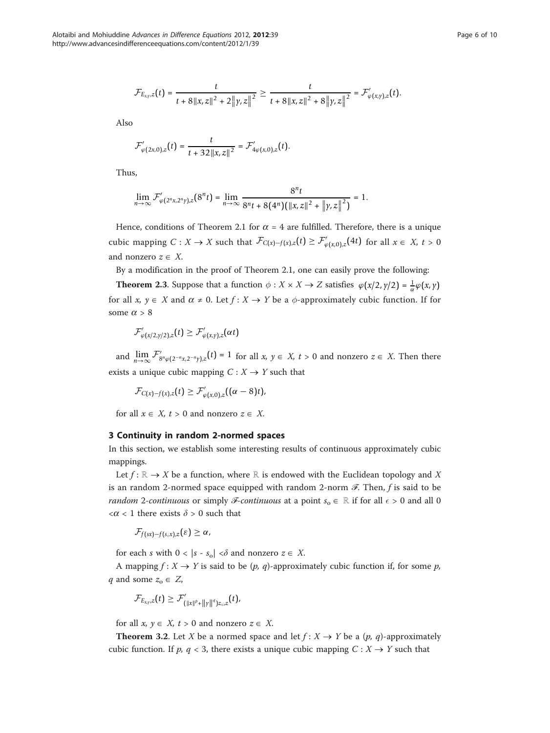$$
\mathcal{F}_{E_{x,y},z}(t)=\frac{t}{t+8\|x,z\|^2+2\|y,z\|^2}\geq \frac{t}{t+8\|x,z\|^2+8\|y,z\|^2}=\mathcal{F}_{\varphi(x,y),z}'(t).
$$

Also

$$
\mathcal{F}'_{\varphi(2x,0),z}(t)=\frac{t}{t+32\|x,z\|^2}=\mathcal{F}'_{4\varphi(x,0),z}(t).
$$

Thus,

$$
\lim_{n\to\infty}\mathcal{F}'_{\varphi(2^n x,2^n y),z}(8^n t)=\lim_{n\to\infty}\frac{8^n t}{8^n t+8(4^n)\big(\|x,z\|^2+\|y,z\|^2\big)}=1.
$$

Hence, conditions of Theorem 2.1 for  $\alpha = 4$  are fulfilled. Therefore, there is a unique cubic mapping  $C: X \to X$  such that  $\mathcal{F}_{C(x)-f(x),z}(t) \geq \mathcal{F}'_{\varphi(x,0),z}(4t)$  for all  $x \in X$ ,  $t > 0$ and nonzero  $z \in X$ .

By a modification in the proof of Theorem 2.1, one can easily prove the following:

**Theorem 2.3**. Suppose that a function  $\phi : X \times X \to Z$  satisfies  $\phi(x/2, y/2) = \frac{1}{\alpha}\phi(x, y)$ for all x,  $y \in X$  and  $\alpha \neq 0$ . Let  $f : X \rightarrow Y$  be a  $\phi$ -approximately cubic function. If for some  $\alpha > 8$ 

$$
\mathcal{F}'_{\varphi(x/2,\gamma/2),z}(t)\geq \mathcal{F}'_{\varphi(x,\gamma),z}(\alpha t)
$$

and  $\lim_{n\to\infty} \mathcal{F}'_{8^n \varphi(2^{-n}x,2^{-n}y),z}(t) = 1$  for all  $x, y \in X$ ,  $t > 0$  and nonzero  $z \in X$ . Then there exists a unique cubic mapping  $C: X \rightarrow Y$  such that

$$
\mathcal{F}_{C(x)-f(x),z}(t)\geq \mathcal{F}'_{\varphi(x,0),z}((\alpha-8)t),
$$

for all  $x \in X$ ,  $t > 0$  and nonzero  $z \in X$ .

# 3 Continuity in random 2-normed spaces

In this section, we establish some interesting results of continuous approximately cubic mappings.

Let  $f: \mathbb{R} \to X$  be a function, where  $\mathbb R$  is endowed with the Euclidean topology and X is an random 2-normed space equipped with random 2-norm  $\mathscr F$ . Then, f is said to be *random* 2-continuous or simply *ℱ*-continuous at a point  $s_0 \in \mathbb{R}$  if for all  $\epsilon > 0$  and all 0  $<\!\alpha$  < 1 there exists  $\delta$  > 0 such that

$$
\mathcal{F}_{f(sx)-f(s_\circ x),z}(\varepsilon)\geq\alpha,
$$

for each s with  $0 < |s - s_0| < \delta$  and nonzero  $z \in X$ .

A mapping  $f: X \to Y$  is said to be  $(p, q)$ -approximately cubic function if, for some p, q and some  $z_0 \in Z$ ,

$$
\mathcal{F}_{E_{x,y},z}(t) \geq \mathcal{F}'_{(\|x\|^p+\|y\|^q)z_{\circ},z}(t).
$$

for all  $x, y \in X$ ,  $t > 0$  and nonzero  $z \in X$ .

**Theorem 3.2.** Let X be a normed space and let  $f: X \to Y$  be a  $(p, q)$ -approximately cubic function. If p,  $q < 3$ , there exists a unique cubic mapping  $C : X \rightarrow Y$  such that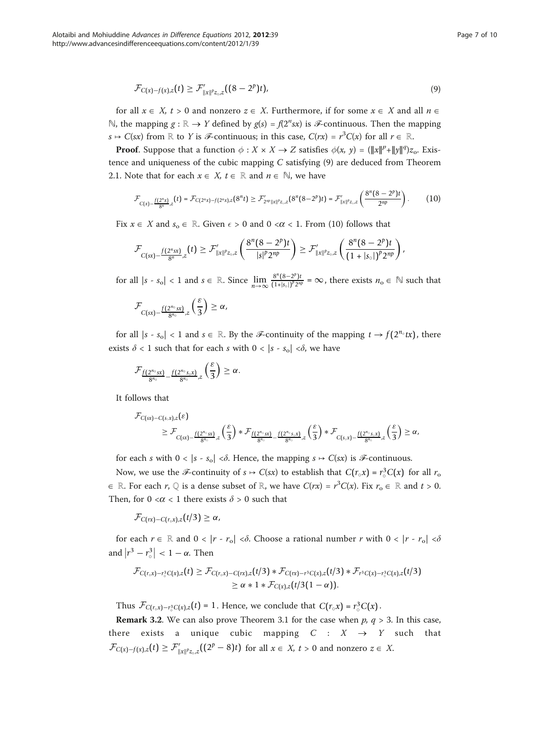$$
\mathcal{F}_{C(x)-f(x),z}(t) \geq \mathcal{F}_{\|x\|^p z_{\infty},z}'((8-2^p)t),\tag{9}
$$

for all  $x \in X$ ,  $t > 0$  and nonzero  $z \in X$ . Furthermore, if for some  $x \in X$  and all  $n \in X$ N, the mapping  $g : \mathbb{R} \to Y$  defined by  $g(s) = f(2^n s x)$  is  $\mathcal{F}$ -continuous. Then the mapping  $s \mapsto C(sx)$  from R to Y is F-continuous; in this case,  $C(rx) = r^3C(x)$  for all  $r \in \mathbb{R}$ .

**Proof.** Suppose that a function  $\phi : X \times X \to Z$  satisfies  $\phi(x, y) = (\|x\|^p + \|y\|^q)z_o$ . Existence and uniqueness of the cubic mapping  $C$  satisfying  $(9)$  are deduced from Theorem 2.1. Note that for each  $x \in X$ ,  $t \in \mathbb{R}$  and  $n \in \mathbb{N}$ , we have

$$
\mathcal{F}_{C(x)-\frac{f(2^n x)}{8^n},z}(t)=\mathcal{F}_{C(2^n x)-f(2^n x),z}(8^n t)\geq \mathcal{F}_{2^m\|x\|^p z_\infty,z}'(8^n (8-2^p)t)=\mathcal{F}_{\|x\|^p z_\infty,z}'\left(\frac{8^n (8-2^p)t}{2^{np}}\right). \hspace{1cm} (10)
$$

Fix  $x \in X$  and  $s_0 \in \mathbb{R}$ . Given  $\epsilon > 0$  and  $0 < \alpha < 1$ . From (10) follows that

$$
\mathcal{F}_{C(sx)-\frac{f(2^n s x)}{8^n},z}(t) \geq \mathcal{F}_{\|x\|^p z_\infty,z}'\left(\frac{8^n (8-2^p)t}{|s|^p 2^{np}}\right) \geq \mathcal{F}_{\|x\|^p z_\infty,z}'\left(\frac{8^n (8-2^p)t}{(1+|s_\infty|)^p 2^{np}}\right),
$$

for all  $|s - s_0| < 1$  and  $s \in \mathbb{R}$ . Since  $\lim_{n \to \infty} \frac{8^n (8 - 2^p)t}{(1 + |s_0|)^p 2^n}$  $\frac{\delta (8-2^r)!}{(1+|s_0|)^p 2^{np}} = \infty$ , there exists  $n_0 \in \mathbb{N}$  such that

$$
\mathcal{F}_{C(sx)-\frac{f(2^{n_0}sx)}{8^{n_0}},z}\left(\frac{\varepsilon}{3}\right)\geq\alpha,
$$

for all  $|s - s_0| < 1$  and  $s \in \mathbb{R}$ . By the *ℱ*-continuity of the mapping  $t \to f(2^{n_0}tx)$ , there exists  $\delta$  < 1 such that for each s with  $0 < |s - s_0| < \delta$ , we have

$$
\mathcal{F}_{\underline{f(2^{n_0}sx)}}_{\overline{8^{n_0}}-\frac{f(2^{n_0}s_\circ x)}{8^{n_0}}z}\Big(\frac{\epsilon}{3}\Big)\geq\alpha.
$$

It follows that

$$
\mathcal{F}_{C(sx)-C(s,x),z}(\varepsilon) \\ \geq \mathcal{F}_{C(sx)-\frac{f(2^{n\circ}sx)}{8^{n\circ}},z}\left(\frac{\varepsilon}{3}\right) * \mathcal{F}_{\frac{f(2^{n\circ}sx)}{8^{n\circ}}-\frac{f(2^{n\circ}s,x)}{8^{n\circ}},z}\left(\frac{\varepsilon}{3}\right) * \mathcal{F}_{C(s,x)-\frac{f(2^{n\circ}s,x)}{8^{n\circ}},z}\left(\frac{\varepsilon}{3}\right) \geq \alpha,
$$

for each s with  $0 < |s - s_0| < \delta$ . Hence, the mapping  $s \mapsto C(sx)$  is  $\mathcal{F}$ -continuous.

Now, we use the *ℱ*-continuity of  $s \mapsto C(sx)$  to establish that  $C(r_0x) = r_0^3 C(x)$  for all  $r_0$  $\in \mathbb{R}$ . For each r, ℚ is a dense subset of ℝ, we have  $C(rx) = r^3C(x)$ . Fix  $r_0 \in \mathbb{R}$  and  $t > 0$ . Then, for  $0 < \alpha < 1$  there exists  $\delta > 0$  such that

 $\mathcal{F}_{C(rx)-C(r_\circ x),z}(t/3) \geq \alpha$ ,

for each  $r \in \mathbb{R}$  and  $0 < |r - r_0| < \delta$ . Choose a rational number r with  $0 < |r - r_0| < \delta$ and  $|r^3 - r_\circ^3| < 1 - \alpha$ . Then

$$
\mathcal{F}_{C(r,x)-r_{\circ}^{3}C(x),z}(t) \geq \mathcal{F}_{C(r,x)-C(rx),z}(t/3) * \mathcal{F}_{C(rx)-r^{3}C(x),z}(t/3) * \mathcal{F}_{r^{3}C(x)-r_{\circ}^{3}C(x),z}(t/3) \geq \alpha * 1 * \mathcal{F}_{C(x),z}(t/3(1-\alpha)).
$$

Thus  $\mathcal{F}_{C(r_0,x)-r_0^3C(x),z}(t)=1$ . Hence, we conclude that  $C(r_0x)=r_0^3C(x)$ .

**Remark 3.2.** We can also prove Theorem 3.1 for the case when  $p$ ,  $q > 3$ . In this case, there exists a unique cubic mapping  $C : X \rightarrow Y$  such that  $\mathcal{F}_{C(x)-f(x),z}(t) \geq \mathcal{F}'_{\|x\|^p z_{\infty},z}((2^p-8)t)$  for all  $x \in X, t > 0$  and nonzero  $z \in X$ .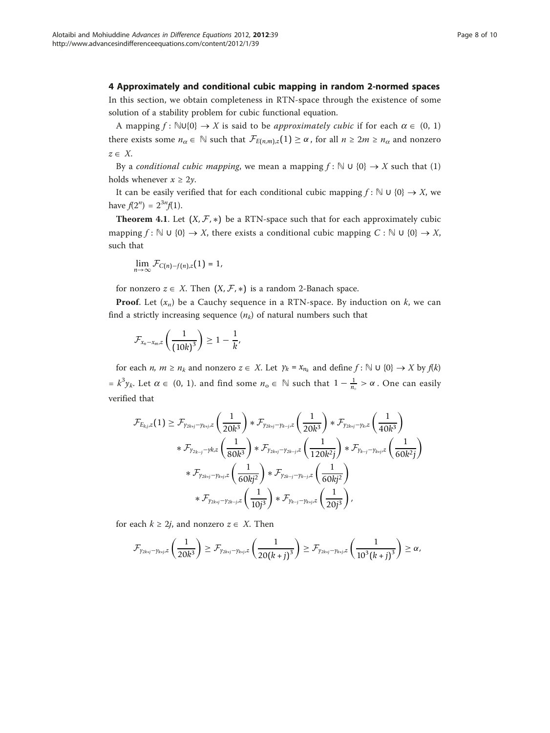# 4 Approximately and conditional cubic mapping in random 2-normed spaces

In this section, we obtain completeness in RTN-space through the existence of some solution of a stability problem for cubic functional equation.

A mapping  $f: \mathbb{N} \cup \{0\} \to X$  is said to be *approximately cubic* if for each  $\alpha \in (0, 1)$ there exists some  $n_{\alpha} \in \mathbb{N}$  such that  $\mathcal{F}_{E(n,m),z}(1) \geq \alpha$ , for all  $n \geq 2m \geq n_{\alpha}$  and nonzero  $z \in X$ .

By a conditional cubic mapping, we mean a mapping  $f : \mathbb{N} \cup \{0\} \rightarrow X$  such that (1) holds whenever  $x \geq 2y$ .

It can be easily verified that for each conditional cubic mapping  $f : \mathbb{N} \cup \{0\} \rightarrow X$ , we have  $f(2^n) = 2^{3n} f(1)$ .

**Theorem 4.1.** Let  $(X, \mathcal{F}, *)$  be a RTN-space such that for each approximately cubic mapping  $f: \mathbb{N} \cup \{0\} \to X$ , there exists a conditional cubic mapping  $C: \mathbb{N} \cup \{0\} \to X$ , such that

$$
\lim_{n\to\infty}\mathcal{F}_{C(n)-f(n),z}(1)=1,
$$

for nonzero  $z \in X$ . Then  $(X, \mathcal{F}, *)$  is a random 2-Banach space.

**Proof.** Let  $(x_n)$  be a Cauchy sequence in a RTN-space. By induction on k, we can find a strictly increasing sequence  $(n_k)$  of natural numbers such that

$$
\mathcal{F}_{x_n-x_m,z}\left(\frac{1}{\left(10k\right)^3}\right)\geq 1-\frac{1}{k},
$$

for each *n*,  $m \ge n_k$  and nonzero  $z \in X$ . Let  $\gamma_k = x_{n_k}$  and define  $f : \mathbb{N} \cup \{0\} \to X$  by  $f(k)$  $= k^3 y_k$ . Let  $\alpha \in (0, 1)$ . and find some  $n_0 \in \mathbb{N}$  such that  $1 - \frac{1}{n_0} > \alpha$ . One can easily verified that

$$
\mathcal{F}_{E_{k,j},z}(1) \geq \mathcal{F}_{\gamma_{2k+j}-\gamma_{k+j},z}\left(\frac{1}{20k^3}\right) * \mathcal{F}_{\gamma_{2k+j}-\gamma_{k-j},z}\left(\frac{1}{20k^3}\right) * \mathcal{F}_{\gamma_{2k+j}-\gamma_{k},z}\left(\frac{1}{40k^3}\right)
$$
  
\n
$$
* \mathcal{F}_{\gamma_{2k-j}-\gamma k,z}\left(\frac{1}{80k^3}\right) * \mathcal{F}_{\gamma_{2k+j}-\gamma_{2k-j},z}\left(\frac{1}{120k^2j}\right) * \mathcal{F}_{\gamma_{k-j}-\gamma_{k+j},z}\left(\frac{1}{60k^2j}\right)
$$
  
\n
$$
* \mathcal{F}_{\gamma_{2k+j}-\gamma_{k+j},z}\left(\frac{1}{60kj^2}\right) * \mathcal{F}_{\gamma_{2k-j}-\gamma_{k-j},z}\left(\frac{1}{60kj^2}\right)
$$
  
\n
$$
* \mathcal{F}_{\gamma_{2k+j}-\gamma_{2k-j},z}\left(\frac{1}{10j^3}\right) * \mathcal{F}_{\gamma_{k-j}-\gamma_{k+j},z}\left(\frac{1}{20j^3}\right),
$$

for each  $k \geq 2j$ , and nonzero  $z \in X$ . Then

$$
\mathcal{F}_{\gamma_{2k+j}-\gamma_{k+j},z}\left(\frac{1}{20k^3}\right) \geq \mathcal{F}_{\gamma_{2k+j}-\gamma_{k+j},z}\left(\frac{1}{20(k+j)^3}\right) \geq \mathcal{F}_{\gamma_{2k+j}-\gamma_{k+j},z}\left(\frac{1}{10^3(k+j)^3}\right) \geq \alpha,
$$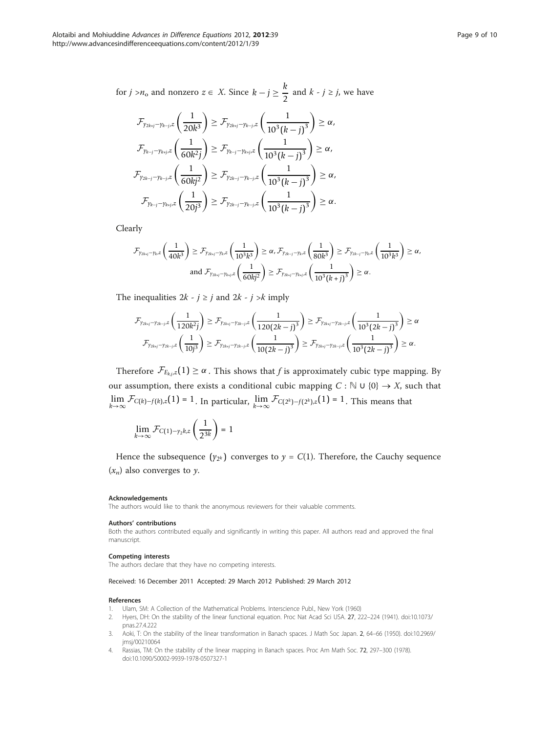<span id="page-8-0"></span>for *j* >*n*<sub>0</sub> and nonzero  $z \in X$ . Since  $k - j \geq \frac{k}{2}$  $\frac{\pi}{2}$  and  $k - j \ge j$ , we have

$$
\mathcal{F}_{\gamma_{2k+j}-\gamma_{k+j},z} \left( \frac{1}{20k^3} \right) \geq \mathcal{F}_{\gamma_{2k+j}-\gamma_{k-j},z} \left( \frac{1}{10^3 (k-j)^3} \right) \geq \alpha,
$$
\n
$$
\mathcal{F}_{\gamma_{k-j}-\gamma_{k+j},z} \left( \frac{1}{60k^2j} \right) \geq \mathcal{F}_{\gamma_{k-j}-\gamma_{k+j},z} \left( \frac{1}{10^3 (k-j)^3} \right) \geq \alpha,
$$
\n
$$
\mathcal{F}_{\gamma_{2k-j}-\gamma_{k-j},z} \left( \frac{1}{60kj^2} \right) \geq \mathcal{F}_{\gamma_{2k-j}-\gamma_{k-j},z} \left( \frac{1}{10^3 (k-j)^3} \right) \geq \alpha,
$$
\n
$$
\mathcal{F}_{\gamma_{k-j}-\gamma_{k+j},z} \left( \frac{1}{20j^3} \right) \geq \mathcal{F}_{\gamma_{2k-j}-\gamma_{k-j},z} \left( \frac{1}{10^3 (k-j)^3} \right) \geq \alpha.
$$

Clearly

$$
\mathcal{F}_{\gamma_{2k+j}-\gamma_{k},z}\left(\frac{1}{40k^3}\right) \geq \mathcal{F}_{\gamma_{2k+j}-\gamma_{k},z}\left(\frac{1}{10^3k^3}\right) \geq \alpha, \mathcal{F}_{\gamma_{2k-j}-\gamma_{k},z}\left(\frac{1}{80k^3}\right) \geq \mathcal{F}_{\gamma_{2k-j}-\gamma_{k},z}\left(\frac{1}{10^3k^3}\right) \geq \alpha,
$$
  
and  $\mathcal{F}_{\gamma_{2k+j}-\gamma_{k+j},z}\left(\frac{1}{60kj^2}\right) \geq \mathcal{F}_{\gamma_{2k+j}-\gamma_{k+j},z}\left(\frac{1}{10^3(k+j)^3}\right) \geq \alpha.$ 

The inequalities  $2k - j \geq j$  and  $2k - j > k$  imply

$$
\mathcal{F}_{\gamma_{2k+j}-\gamma_{2k-j},z}\left(\frac{1}{120k^2j}\right)\geq \mathcal{F}_{\gamma_{2k+j}-\gamma_{2k-j},z}\left(\frac{1}{120(2k-j)^3}\right)\geq \mathcal{F}_{\gamma_{2k+j}-\gamma_{2k-j},z}\left(\frac{1}{10^3(2k-j)^3}\right)\geq \alpha
$$
  

$$
\mathcal{F}_{\gamma_{2k+j}-\gamma_{2k-j},z}\left(\frac{1}{10j^3}\right)\geq \mathcal{F}_{\gamma_{2k+j}-\gamma_{2k-j},z}\left(\frac{1}{10(2k-j)^3}\right)\geq \mathcal{F}_{\gamma_{2k+j}-\gamma_{2k-j},z}\left(\frac{1}{10^3(2k-j)^3}\right)\geq \alpha.
$$

Therefore  $\mathcal{F}_{E_{k,j},z}(1) \geq \alpha$ . This shows that f is approximately cubic type mapping. By our assumption, there exists a conditional cubic mapping  $C : \mathbb{N} \cup \{0\} \rightarrow X$ , such that lim  $\mathcal{F}_{C(k)-f(k),z}(1) = 1$ . In particular,  $\lim_{k\to\infty} \mathcal{F}_{C(2^k)-f(2^k),z}(1) = 1$ . This means that

$$
\lim_{k \to \infty} \mathcal{F}_{C(1)-\gamma_2 k, z} \left( \frac{1}{2^{3k}} \right) = 1
$$

Hence the subsequence  $(y_{2k})$  converges to  $y = C(1)$ . Therefore, the Cauchy sequence  $(x_n)$  also converges to y.

#### Acknowledgements

The authors would like to thank the anonymous reviewers for their valuable comments.

#### Authors' contributions

Both the authors contributed equally and significantly in writing this paper. All authors read and approved the final manuscript.

#### Competing interests

The authors declare that they have no competing interests.

### Received: 16 December 2011 Accepted: 29 March 2012 Published: 29 March 2012

#### References

- 1. Ulam, SM: A Collection of the Mathematical Problems. Interscience Publ., New York (1960)
- 2. Hyers, DH: [On the stability of the linear functional equation.](http://www.ncbi.nlm.nih.gov/pubmed/16578012?dopt=Abstract) Proc Nat Acad Sci USA. 27, 222–224 (1941). doi:10.1073/ pnas.27.4.222
- 3. Aoki, T: On the stability of the linear transformation in Banach spaces. J Math Soc Japan. 2, 64–66 (1950). doi:10.2969/ jmsj/00210064
- 4. Rassias, TM: On the stability of the linear mapping in Banach spaces. Proc Am Math Soc. 72, 297–300 (1978). doi:10.1090/S0002-9939-1978-0507327-1